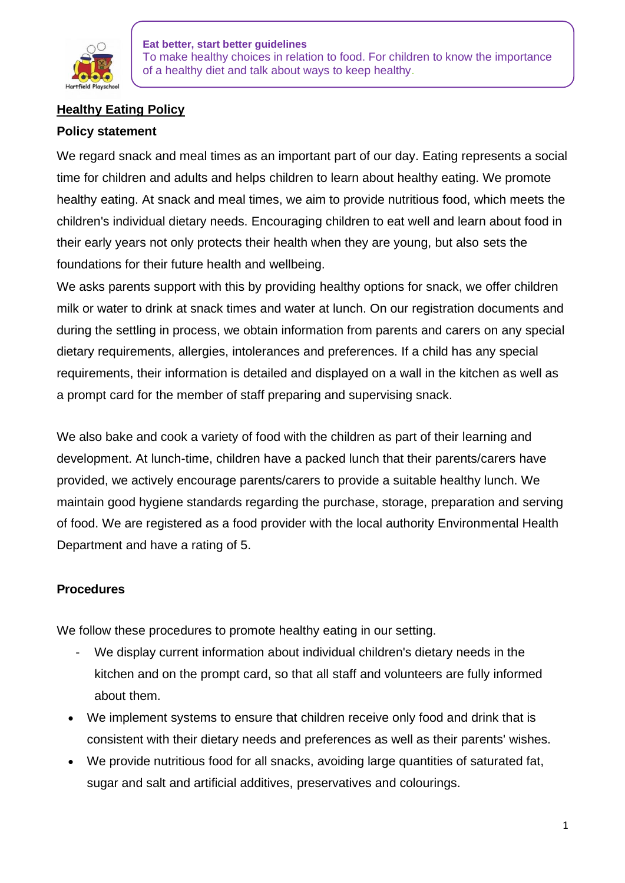

# **Healthy Eating Policy**

## **Policy statement**

We regard snack and meal times as an important part of our day. Eating represents a social time for children and adults and helps children to learn about healthy eating. We promote healthy eating. At snack and meal times, we aim to provide nutritious food, which meets the children's individual dietary needs. Encouraging children to eat well and learn about food in their early years not only protects their health when they are young, but also sets the foundations for their future health and wellbeing.

We asks parents support with this by providing healthy options for snack, we offer children milk or water to drink at snack times and water at lunch. On our registration documents and during the settling in process, we obtain information from parents and carers on any special dietary requirements, allergies, intolerances and preferences. If a child has any special requirements, their information is detailed and displayed on a wall in the kitchen as well as a prompt card for the member of staff preparing and supervising snack.

We also bake and cook a variety of food with the children as part of their learning and development. At lunch-time, children have a packed lunch that their parents/carers have provided, we actively encourage parents/carers to provide a suitable healthy lunch. We maintain good hygiene standards regarding the purchase, storage, preparation and serving of food. We are registered as a food provider with the local authority Environmental Health Department and have a rating of 5.

# **Procedures**

We follow these procedures to promote healthy eating in our setting.

- We display current information about individual children's dietary needs in the kitchen and on the prompt card, so that all staff and volunteers are fully informed about them.
- We implement systems to ensure that children receive only food and drink that is consistent with their dietary needs and preferences as well as their parents' wishes.
- We provide nutritious food for all snacks, avoiding large quantities of saturated fat, sugar and salt and artificial additives, preservatives and colourings.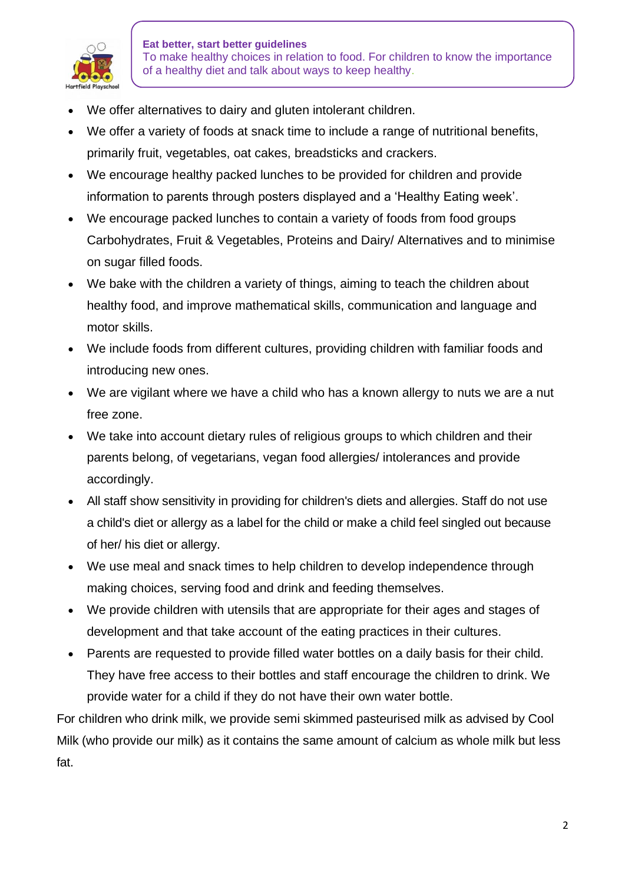

- We offer alternatives to dairy and gluten intolerant children.
- We offer a variety of foods at snack time to include a range of nutritional benefits, primarily fruit, vegetables, oat cakes, breadsticks and crackers.
- We encourage healthy packed lunches to be provided for children and provide information to parents through posters displayed and a 'Healthy Eating week'.
- We encourage packed lunches to contain a variety of foods from food groups Carbohydrates, Fruit & Vegetables, Proteins and Dairy/ Alternatives and to minimise on sugar filled foods.
- We bake with the children a variety of things, aiming to teach the children about healthy food, and improve mathematical skills, communication and language and motor skills.
- We include foods from different cultures, providing children with familiar foods and introducing new ones.
- We are vigilant where we have a child who has a known allergy to nuts we are a nut free zone.
- We take into account dietary rules of religious groups to which children and their parents belong, of vegetarians, vegan food allergies/ intolerances and provide accordingly.
- All staff show sensitivity in providing for children's diets and allergies. Staff do not use a child's diet or allergy as a label for the child or make a child feel singled out because of her/ his diet or allergy.
- We use meal and snack times to help children to develop independence through making choices, serving food and drink and feeding themselves.
- We provide children with utensils that are appropriate for their ages and stages of development and that take account of the eating practices in their cultures.
- Parents are requested to provide filled water bottles on a daily basis for their child. They have free access to their bottles and staff encourage the children to drink. We provide water for a child if they do not have their own water bottle.

For children who drink milk, we provide semi skimmed pasteurised milk as advised by Cool Milk (who provide our milk) as it contains the same amount of calcium as whole milk but less fat.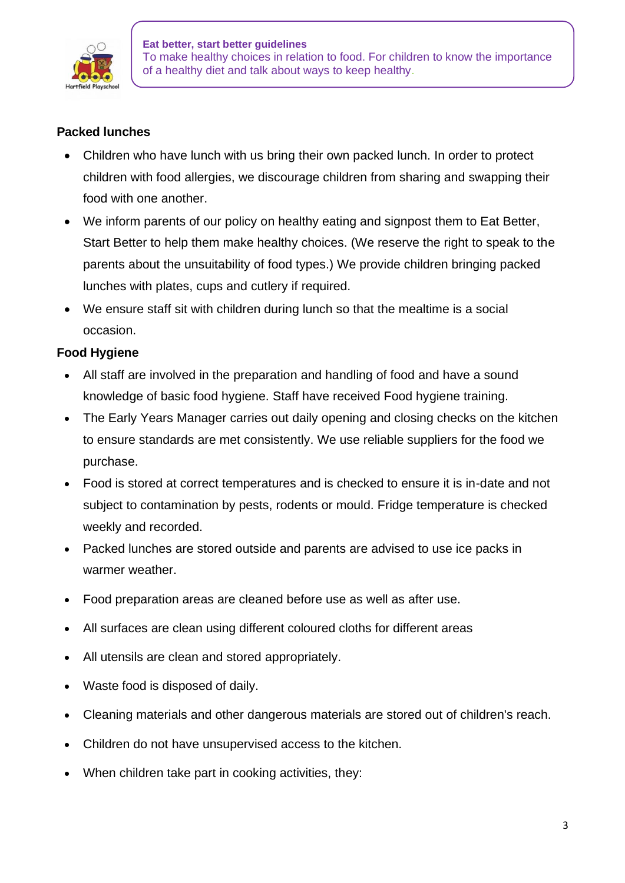

## **Packed lunches**

- Children who have lunch with us bring their own packed lunch. In order to protect children with food allergies, we discourage children from sharing and swapping their food with one another.
- We inform parents of our policy on healthy eating and signpost them to Eat Better, Start Better to help them make healthy choices. (We reserve the right to speak to the parents about the unsuitability of food types.) We provide children bringing packed lunches with plates, cups and cutlery if required.
- We ensure staff sit with children during lunch so that the mealtime is a social occasion.

# **Food Hygiene**

- All staff are involved in the preparation and handling of food and have a sound knowledge of basic food hygiene. Staff have received Food hygiene training.
- The Early Years Manager carries out daily opening and closing checks on the kitchen to ensure standards are met consistently. We use reliable suppliers for the food we purchase.
- Food is stored at correct temperatures and is checked to ensure it is in-date and not subject to contamination by pests, rodents or mould. Fridge temperature is checked weekly and recorded.
- Packed lunches are stored outside and parents are advised to use ice packs in warmer weather.
- Food preparation areas are cleaned before use as well as after use.
- All surfaces are clean using different coloured cloths for different areas
- All utensils are clean and stored appropriately.
- Waste food is disposed of daily.
- Cleaning materials and other dangerous materials are stored out of children's reach.
- Children do not have unsupervised access to the kitchen.
- When children take part in cooking activities, they: